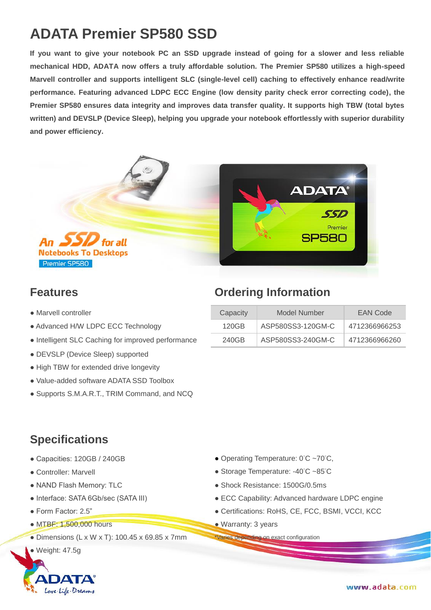# **ADATA Premier SP580 SSD**

**If you want to give your notebook PC an SSD upgrade instead of going for a slower and less reliable mechanical HDD, ADATA now offers a truly affordable solution. The Premier SP580 utilizes a high-speed Marvell controller and supports intelligent SLC (single-level cell) caching to effectively enhance read/write performance. Featuring advanced LDPC ECC Engine (low density parity check error correcting code), the Premier SP580 ensures data integrity and improves data transfer quality. It supports high TBW (total bytes written) and DEVSLP (Device Sleep), helping you upgrade your notebook effortlessly with superior durability and power efficiency.**



- $\bullet$  Marvell controller
- Advanced H/W LDPC ECC Technology
- Intelligent SLC Caching for improved performance
- DEVSLP (Device Sleep) supported
- High TBW for extended drive longevity
- Value-added software ADATA SSD Toolbox
- Supports S.M.A.R.T., TRIM Command, and NCQ

# **Features Ordering Information**

| Capacity | Model Number      | EAN Code      |
|----------|-------------------|---------------|
| 120GB    | ASP580SS3-120GM-C | 4712366966253 |
| 240GB    | ASP580SS3-240GM-C | 4712366966260 |

### **Specifications**

- 
- 
- 
- 
- 
- $\bullet$  MTBF: 1,500,000 hours  $\bullet$  Warranty: 3 years
- Dimensions (L x W x T): 100.45 x 69.85 x 7mm \*Varies depending on exact configuration
- $\bullet$  Weight: 47.5g



- Capacities: 120GB / 240GB <br>● Operating Temperature: 0°C ~70°C,
- Controller: Marvell and Controller: Marvell example a Storage Temperature: -40°C ~85°C
- NAND Flash Memory: TLC  **Shock Resistance: 1500G/0.5ms**
- Interface: SATA 6Gb/sec (SATA III) ECC Capability: Advanced hardware LDPC engine
- Form Factor: 2.5" Certifications: RoHS, CE, FCC, BSMI, VCCI, KCC
	-